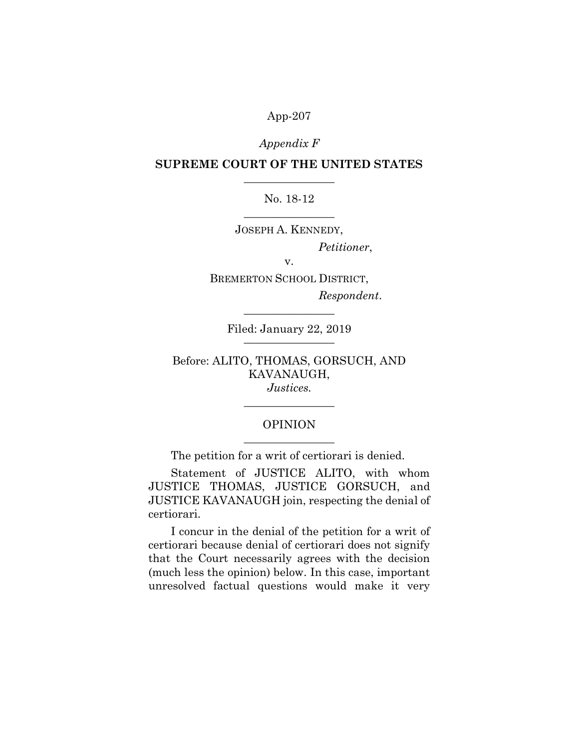## Appendix F

# SUPREME COURT OF THE UNITED STATES  $\overline{\phantom{a}}$  , where  $\overline{\phantom{a}}$

# No. 18-12  $\overline{\phantom{a}}$  , where  $\overline{\phantom{a}}$

JOSEPH A. KENNEDY,

Petitioner,

v. BREMERTON SCHOOL DISTRICT,

Respondent.

Filed: January 22, 2019 \_\_\_\_\_\_\_\_\_\_\_\_\_\_\_\_

 $\overline{\phantom{a}}$  , where  $\overline{\phantom{a}}$ 

Before: ALITO, THOMAS, GORSUCH, AND KAVANAUGH, Justices.

# OPINION  $\overline{\phantom{a}}$  , where  $\overline{\phantom{a}}$

 $\overline{\phantom{a}}$  , where  $\overline{\phantom{a}}$ 

The petition for a writ of certiorari is denied.

Statement of JUSTICE ALITO, with whom JUSTICE THOMAS, JUSTICE GORSUCH, and JUSTICE KAVANAUGH join, respecting the denial of certiorari.

I concur in the denial of the petition for a writ of certiorari because denial of certiorari does not signify that the Court necessarily agrees with the decision (much less the opinion) below. In this case, important unresolved factual questions would make it very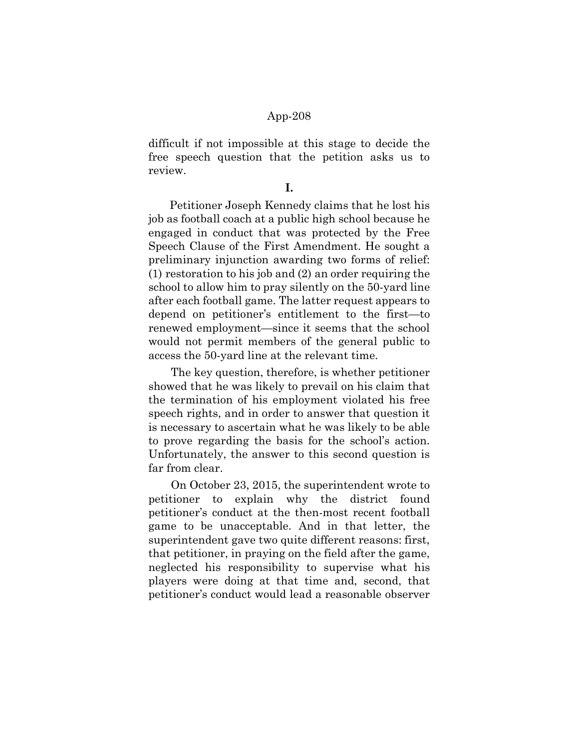difficult if not impossible at this stage to decide the free speech question that the petition asks us to review.

I.

Petitioner Joseph Kennedy claims that he lost his job as football coach at a public high school because he engaged in conduct that was protected by the Free Speech Clause of the First Amendment. He sought a preliminary injunction awarding two forms of relief: (1) restoration to his job and (2) an order requiring the school to allow him to pray silently on the 50-yard line after each football game. The latter request appears to depend on petitioner's entitlement to the first—to renewed employment—since it seems that the school would not permit members of the general public to access the 50-yard line at the relevant time.

The key question, therefore, is whether petitioner showed that he was likely to prevail on his claim that the termination of his employment violated his free speech rights, and in order to answer that question it is necessary to ascertain what he was likely to be able to prove regarding the basis for the school's action. Unfortunately, the answer to this second question is far from clear.

On October 23, 2015, the superintendent wrote to petitioner to explain why the district found petitioner's conduct at the then-most recent football game to be unacceptable. And in that letter, the superintendent gave two quite different reasons: first, that petitioner, in praying on the field after the game, neglected his responsibility to supervise what his players were doing at that time and, second, that petitioner's conduct would lead a reasonable observer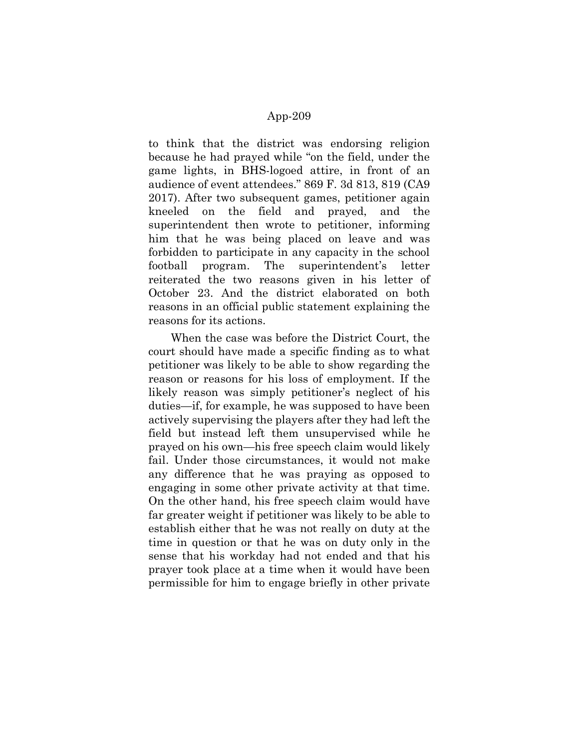to think that the district was endorsing religion because he had prayed while "on the field, under the game lights, in BHS-logoed attire, in front of an audience of event attendees." 869 F. 3d 813, 819 (CA9 2017). After two subsequent games, petitioner again kneeled on the field and prayed, and the superintendent then wrote to petitioner, informing him that he was being placed on leave and was forbidden to participate in any capacity in the school football program. The superintendent's letter reiterated the two reasons given in his letter of October 23. And the district elaborated on both reasons in an official public statement explaining the reasons for its actions.

When the case was before the District Court, the court should have made a specific finding as to what petitioner was likely to be able to show regarding the reason or reasons for his loss of employment. If the likely reason was simply petitioner's neglect of his duties—if, for example, he was supposed to have been actively supervising the players after they had left the field but instead left them unsupervised while he prayed on his own—his free speech claim would likely fail. Under those circumstances, it would not make any difference that he was praying as opposed to engaging in some other private activity at that time. On the other hand, his free speech claim would have far greater weight if petitioner was likely to be able to establish either that he was not really on duty at the time in question or that he was on duty only in the sense that his workday had not ended and that his prayer took place at a time when it would have been permissible for him to engage briefly in other private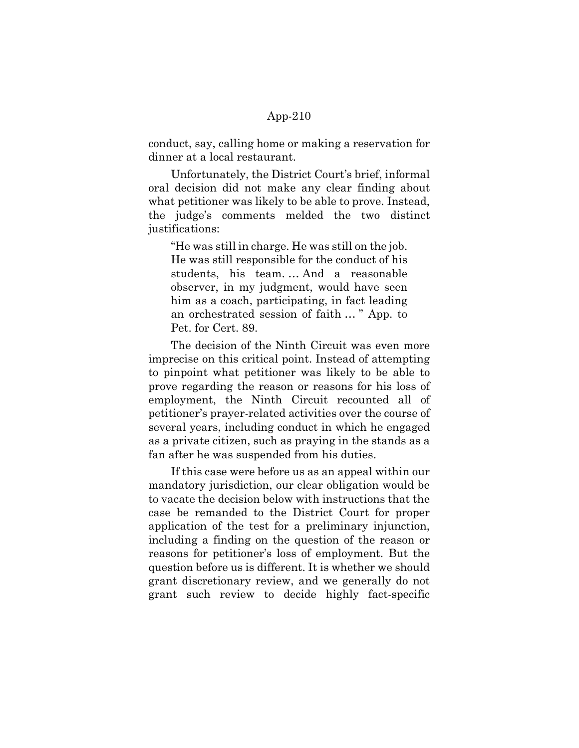conduct, say, calling home or making a reservation for dinner at a local restaurant.

Unfortunately, the District Court's brief, informal oral decision did not make any clear finding about what petitioner was likely to be able to prove. Instead, the judge's comments melded the two distinct justifications:

"He was still in charge. He was still on the job. He was still responsible for the conduct of his students, his team. … And a reasonable observer, in my judgment, would have seen him as a coach, participating, in fact leading an orchestrated session of faith … " App. to Pet. for Cert. 89.

The decision of the Ninth Circuit was even more imprecise on this critical point. Instead of attempting to pinpoint what petitioner was likely to be able to prove regarding the reason or reasons for his loss of employment, the Ninth Circuit recounted all of petitioner's prayer-related activities over the course of several years, including conduct in which he engaged as a private citizen, such as praying in the stands as a fan after he was suspended from his duties.

If this case were before us as an appeal within our mandatory jurisdiction, our clear obligation would be to vacate the decision below with instructions that the case be remanded to the District Court for proper application of the test for a preliminary injunction, including a finding on the question of the reason or reasons for petitioner's loss of employment. But the question before us is different. It is whether we should grant discretionary review, and we generally do not grant such review to decide highly fact-specific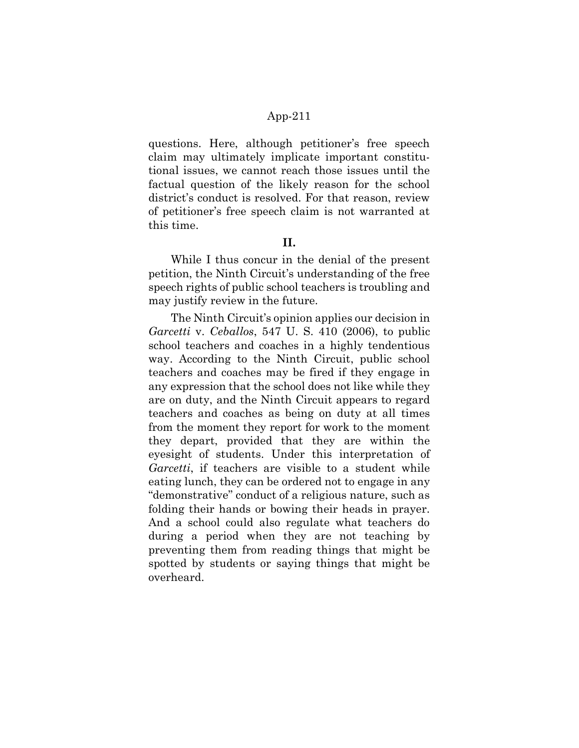questions. Here, although petitioner's free speech claim may ultimately implicate important constitutional issues, we cannot reach those issues until the factual question of the likely reason for the school district's conduct is resolved. For that reason, review of petitioner's free speech claim is not warranted at this time.

#### II.

While I thus concur in the denial of the present petition, the Ninth Circuit's understanding of the free speech rights of public school teachers is troubling and may justify review in the future.

The Ninth Circuit's opinion applies our decision in Garcetti v. Ceballos, 547 U.S. 410 (2006), to public school teachers and coaches in a highly tendentious way. According to the Ninth Circuit, public school teachers and coaches may be fired if they engage in any expression that the school does not like while they are on duty, and the Ninth Circuit appears to regard teachers and coaches as being on duty at all times from the moment they report for work to the moment they depart, provided that they are within the eyesight of students. Under this interpretation of Garcetti, if teachers are visible to a student while eating lunch, they can be ordered not to engage in any "demonstrative" conduct of a religious nature, such as folding their hands or bowing their heads in prayer. And a school could also regulate what teachers do during a period when they are not teaching by preventing them from reading things that might be spotted by students or saying things that might be overheard.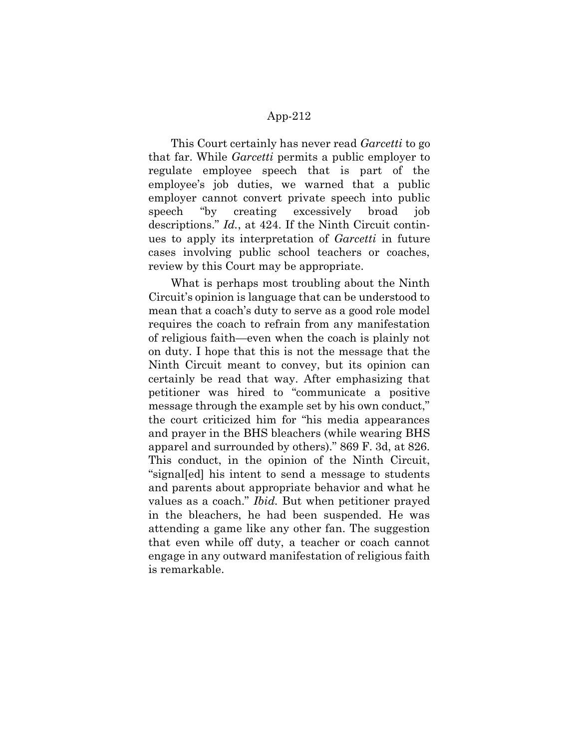This Court certainly has never read *Garcetti* to go that far. While Garcetti permits a public employer to regulate employee speech that is part of the employee's job duties, we warned that a public employer cannot convert private speech into public speech "by creating excessively broad job descriptions." Id., at 424. If the Ninth Circuit continues to apply its interpretation of *Garcetti* in future cases involving public school teachers or coaches, review by this Court may be appropriate.

What is perhaps most troubling about the Ninth Circuit's opinion is language that can be understood to mean that a coach's duty to serve as a good role model requires the coach to refrain from any manifestation of religious faith—even when the coach is plainly not on duty. I hope that this is not the message that the Ninth Circuit meant to convey, but its opinion can certainly be read that way. After emphasizing that petitioner was hired to "communicate a positive message through the example set by his own conduct," the court criticized him for "his media appearances and prayer in the BHS bleachers (while wearing BHS apparel and surrounded by others)." 869 F. 3d, at 826. This conduct, in the opinion of the Ninth Circuit, "signal[ed] his intent to send a message to students and parents about appropriate behavior and what he values as a coach." *Ibid*. But when petitioner prayed in the bleachers, he had been suspended. He was attending a game like any other fan. The suggestion that even while off duty, a teacher or coach cannot engage in any outward manifestation of religious faith is remarkable.